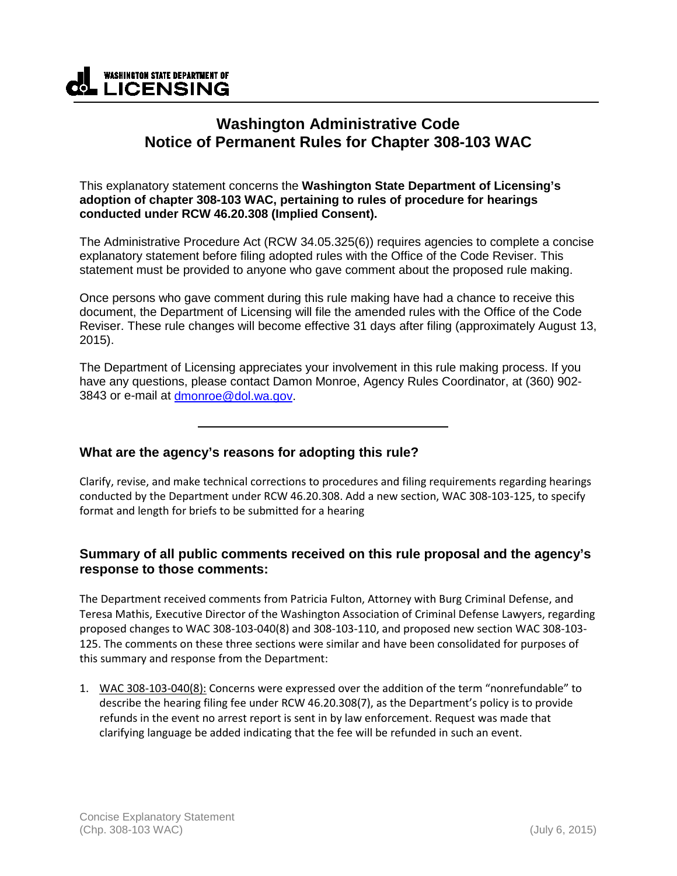

## **Washington Administrative Code Notice of Permanent Rules for Chapter 308-103 WAC**

This explanatory statement concerns the **Washington State Department of Licensing's adoption of chapter 308-103 WAC, pertaining to rules of procedure for hearings conducted under RCW 46.20.308 (Implied Consent).**

The Administrative Procedure Act (RCW 34.05.325(6)) requires agencies to complete a concise explanatory statement before filing adopted rules with the Office of the Code Reviser. This statement must be provided to anyone who gave comment about the proposed rule making.

Once persons who gave comment during this rule making have had a chance to receive this document, the Department of Licensing will file the amended rules with the Office of the Code Reviser. These rule changes will become effective 31 days after filing (approximately August 13, 2015).

The Department of Licensing appreciates your involvement in this rule making process. If you have any questions, please contact Damon Monroe, Agency Rules Coordinator, at (360) 902 3843 or e-mail at [dmonroe@dol.wa.gov.](mailto:dmonroe@dol.wa.gov)

## **What are the agency's reasons for adopting this rule?**

Clarify, revise, and make technical corrections to procedures and filing requirements regarding hearings conducted by the Department under RCW 46.20.308. Add a new section, WAC 308-103-125, to specify format and length for briefs to be submitted for a hearing

## **Summary of all public comments received on this rule proposal and the agency's response to those comments:**

The Department received comments from Patricia Fulton, Attorney with Burg Criminal Defense, and Teresa Mathis, Executive Director of the Washington Association of Criminal Defense Lawyers, regarding proposed changes to WAC 308-103-040(8) and 308-103-110, and proposed new section WAC 308-103- 125. The comments on these three sections were similar and have been consolidated for purposes of this summary and response from the Department:

1. WAC 308-103-040(8): Concerns were expressed over the addition of the term "nonrefundable" to describe the hearing filing fee under RCW 46.20.308(7), as the Department's policy is to provide refunds in the event no arrest report is sent in by law enforcement. Request was made that clarifying language be added indicating that the fee will be refunded in such an event.